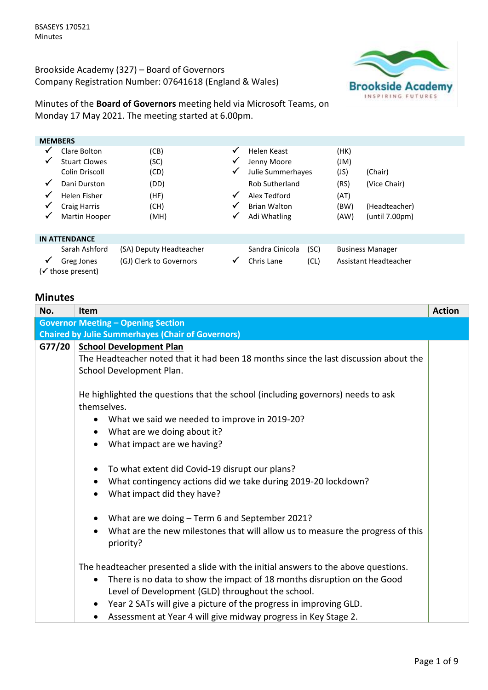Brookside Academy (327) – Board of Governors Company Registration Number: 07641618 (England & Wales)



Minutes of the **Board of Governors** meeting held via Microsoft Teams, on Monday 17 May 2021. The meeting started at 6.00pm.

| <b>MEMBERS</b> |                      |                         |              |                       |      |      |                         |
|----------------|----------------------|-------------------------|--------------|-----------------------|------|------|-------------------------|
| ✔              | Clare Bolton         | (CB)                    | ✓            | Helen Keast           |      | (HK) |                         |
| ✔              | <b>Stuart Clowes</b> | (SC)                    | ✔            | Jenny Moore           |      | (Ml) |                         |
|                | Colin Driscoll       | (CD)                    | ✓            | Julie Summerhayes     |      | (JS) | (Chair)                 |
| $\checkmark$   | Dani Durston         | (DD)                    |              | <b>Rob Sutherland</b> |      | (RS) | (Vice Chair)            |
| ✔              | Helen Fisher         | (HF)                    | $\checkmark$ | Alex Tedford          |      | (AT) |                         |
| ✔              | Craig Harris         | (CH)                    | ✓            | <b>Brian Walton</b>   |      | (BW) | (Headteacher)           |
| ✔              | Martin Hooper        | (MH)                    | √            | Adi Whatling          |      | (AW) | (until 7.00pm)          |
|                |                      |                         |              |                       |      |      |                         |
|                | <b>IN ATTENDANCE</b> |                         |              |                       |      |      |                         |
|                | Sarah Ashford        | (SA) Deputy Headteacher |              | Sandra Cinicola       | (SC) |      | <b>Business Manager</b> |
| ✔              | Greg Jones           | (GJ) Clerk to Governors | ✔            | Chris Lane            | (CL) |      | Assistant Headteacher   |
|                | (√ those present)    |                         |              |                       |      |      |                         |

## **Minutes**

| No. | <b>Item</b>                                                                                 | <b>Action</b> |  |
|-----|---------------------------------------------------------------------------------------------|---------------|--|
|     | <b>Governor Meeting - Opening Section</b>                                                   |               |  |
|     | <b>Chaired by Julie Summerhayes (Chair of Governors)</b>                                    |               |  |
|     | G77/20 School Development Plan                                                              |               |  |
|     | The Headteacher noted that it had been 18 months since the last discussion about the        |               |  |
|     | School Development Plan.                                                                    |               |  |
|     |                                                                                             |               |  |
|     | He highlighted the questions that the school (including governors) needs to ask             |               |  |
|     | themselves.                                                                                 |               |  |
|     | What we said we needed to improve in 2019-20?                                               |               |  |
|     | What are we doing about it?<br>$\bullet$                                                    |               |  |
|     | What impact are we having?<br>$\bullet$                                                     |               |  |
|     |                                                                                             |               |  |
|     | To what extent did Covid-19 disrupt our plans?<br>$\bullet$                                 |               |  |
|     | What contingency actions did we take during 2019-20 lockdown?<br>$\bullet$                  |               |  |
|     | What impact did they have?<br>$\bullet$                                                     |               |  |
|     |                                                                                             |               |  |
|     | What are we doing - Term 6 and September 2021?<br>$\bullet$                                 |               |  |
|     | What are the new milestones that will allow us to measure the progress of this<br>$\bullet$ |               |  |
|     | priority?                                                                                   |               |  |
|     |                                                                                             |               |  |
|     | The headteacher presented a slide with the initial answers to the above questions.          |               |  |
|     | There is no data to show the impact of 18 months disruption on the Good<br>$\bullet$        |               |  |
|     | Level of Development (GLD) throughout the school.                                           |               |  |
|     | Year 2 SATs will give a picture of the progress in improving GLD.                           |               |  |
|     | Assessment at Year 4 will give midway progress in Key Stage 2.                              |               |  |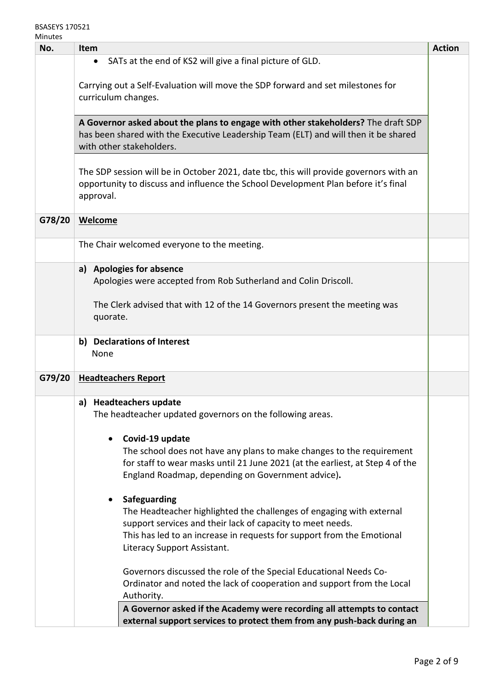| ៴៲៲៲៲៶៲៶៰<br>No. | <b>Item</b>                                                                                                                                                                                                                                                              | <b>Action</b> |
|------------------|--------------------------------------------------------------------------------------------------------------------------------------------------------------------------------------------------------------------------------------------------------------------------|---------------|
|                  | SATs at the end of KS2 will give a final picture of GLD.<br>$\bullet$                                                                                                                                                                                                    |               |
|                  | Carrying out a Self-Evaluation will move the SDP forward and set milestones for<br>curriculum changes.                                                                                                                                                                   |               |
|                  | A Governor asked about the plans to engage with other stakeholders? The draft SDP<br>has been shared with the Executive Leadership Team (ELT) and will then it be shared<br>with other stakeholders.                                                                     |               |
|                  | The SDP session will be in October 2021, date tbc, this will provide governors with an<br>opportunity to discuss and influence the School Development Plan before it's final<br>approval.                                                                                |               |
| G78/20           | <b>Welcome</b>                                                                                                                                                                                                                                                           |               |
|                  | The Chair welcomed everyone to the meeting.                                                                                                                                                                                                                              |               |
|                  | <b>Apologies for absence</b><br>a)<br>Apologies were accepted from Rob Sutherland and Colin Driscoll.                                                                                                                                                                    |               |
|                  | The Clerk advised that with 12 of the 14 Governors present the meeting was<br>quorate.                                                                                                                                                                                   |               |
|                  | b) Declarations of Interest<br>None                                                                                                                                                                                                                                      |               |
| G79/20           | <b>Headteachers Report</b>                                                                                                                                                                                                                                               |               |
|                  | a) Headteachers update<br>The headteacher updated governors on the following areas.<br>Covid-19 update<br>$\bullet$                                                                                                                                                      |               |
|                  | The school does not have any plans to make changes to the requirement<br>for staff to wear masks until 21 June 2021 (at the earliest, at Step 4 of the<br>England Roadmap, depending on Government advice).                                                              |               |
|                  | Safeguarding<br>$\bullet$<br>The Headteacher highlighted the challenges of engaging with external<br>support services and their lack of capacity to meet needs.<br>This has led to an increase in requests for support from the Emotional<br>Literacy Support Assistant. |               |
|                  | Governors discussed the role of the Special Educational Needs Co-<br>Ordinator and noted the lack of cooperation and support from the Local<br>Authority.                                                                                                                |               |
|                  | A Governor asked if the Academy were recording all attempts to contact<br>external support services to protect them from any push-back during an                                                                                                                         |               |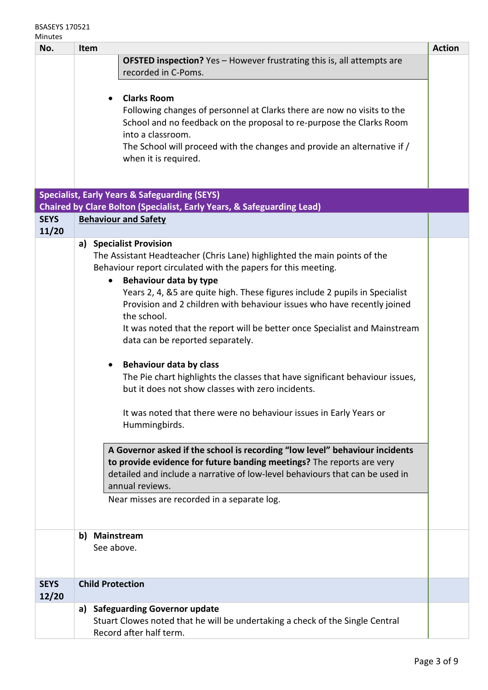| No.         | <b>Action</b><br>Item                                                                                |                                                                                                      |  |
|-------------|------------------------------------------------------------------------------------------------------|------------------------------------------------------------------------------------------------------|--|
|             | <b>OFSTED inspection?</b> Yes - However frustrating this is, all attempts are<br>recorded in C-Poms. |                                                                                                      |  |
|             |                                                                                                      |                                                                                                      |  |
|             |                                                                                                      | <b>Clarks Room</b>                                                                                   |  |
|             |                                                                                                      | Following changes of personnel at Clarks there are now no visits to the                              |  |
|             |                                                                                                      | School and no feedback on the proposal to re-purpose the Clarks Room                                 |  |
|             |                                                                                                      | into a classroom.                                                                                    |  |
|             | The School will proceed with the changes and provide an alternative if /                             |                                                                                                      |  |
|             |                                                                                                      | when it is required.                                                                                 |  |
|             |                                                                                                      |                                                                                                      |  |
|             |                                                                                                      | <b>Specialist, Early Years &amp; Safeguarding (SEYS)</b>                                             |  |
|             |                                                                                                      | <b>Chaired by Clare Bolton (Specialist, Early Years, &amp; Safeguarding Lead)</b>                    |  |
| <b>SEYS</b> |                                                                                                      | <b>Behaviour and Safety</b>                                                                          |  |
| 11/20       |                                                                                                      |                                                                                                      |  |
|             |                                                                                                      | a) Specialist Provision<br>The Assistant Headteacher (Chris Lane) highlighted the main points of the |  |
|             |                                                                                                      | Behaviour report circulated with the papers for this meeting.                                        |  |
|             | $\bullet$                                                                                            | Behaviour data by type                                                                               |  |
|             |                                                                                                      | Years 2, 4, &5 are quite high. These figures include 2 pupils in Specialist                          |  |
|             |                                                                                                      | Provision and 2 children with behaviour issues who have recently joined                              |  |
|             | the school.<br>It was noted that the report will be better once Specialist and Mainstream            |                                                                                                      |  |
|             | data can be reported separately.                                                                     |                                                                                                      |  |
|             |                                                                                                      |                                                                                                      |  |
|             |                                                                                                      | <b>Behaviour data by class</b>                                                                       |  |
|             |                                                                                                      | The Pie chart highlights the classes that have significant behaviour issues,                         |  |
|             |                                                                                                      | but it does not show classes with zero incidents.                                                    |  |
|             |                                                                                                      | It was noted that there were no behaviour issues in Early Years or                                   |  |
|             |                                                                                                      | Hummingbirds.                                                                                        |  |
|             |                                                                                                      |                                                                                                      |  |
|             |                                                                                                      | A Governor asked if the school is recording "low level" behaviour incidents                          |  |
|             |                                                                                                      | to provide evidence for future banding meetings? The reports are very                                |  |
|             |                                                                                                      | detailed and include a narrative of low-level behaviours that can be used in<br>annual reviews.      |  |
|             |                                                                                                      | Near misses are recorded in a separate log.                                                          |  |
|             |                                                                                                      |                                                                                                      |  |
|             |                                                                                                      |                                                                                                      |  |
|             | b) Mainstream                                                                                        |                                                                                                      |  |
|             | See above.                                                                                           |                                                                                                      |  |
|             |                                                                                                      |                                                                                                      |  |
| <b>SEYS</b> | <b>Child Protection</b>                                                                              |                                                                                                      |  |
| 12/20       |                                                                                                      |                                                                                                      |  |
|             | a)                                                                                                   | <b>Safeguarding Governor update</b>                                                                  |  |
|             |                                                                                                      | Stuart Clowes noted that he will be undertaking a check of the Single Central                        |  |
|             | Record after half term.                                                                              |                                                                                                      |  |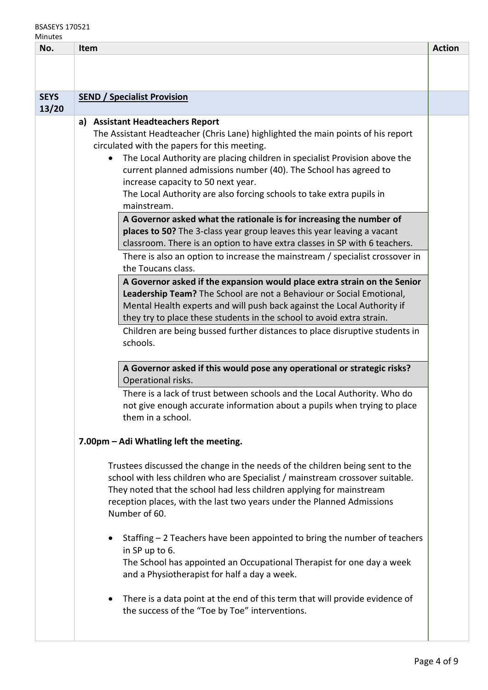## BSASEYS 170521 Minutes

| muutto<br>No. | <b>Item</b>                                                                                                                                                                                                                                                                                                                      | <b>Action</b> |
|---------------|----------------------------------------------------------------------------------------------------------------------------------------------------------------------------------------------------------------------------------------------------------------------------------------------------------------------------------|---------------|
|               |                                                                                                                                                                                                                                                                                                                                  |               |
|               |                                                                                                                                                                                                                                                                                                                                  |               |
| <b>SEYS</b>   | <b>SEND / Specialist Provision</b>                                                                                                                                                                                                                                                                                               |               |
| 13/20         |                                                                                                                                                                                                                                                                                                                                  |               |
|               | <b>Assistant Headteachers Report</b><br>a)                                                                                                                                                                                                                                                                                       |               |
|               | The Assistant Headteacher (Chris Lane) highlighted the main points of his report                                                                                                                                                                                                                                                 |               |
|               | circulated with the papers for this meeting.<br>The Local Authority are placing children in specialist Provision above the<br>$\bullet$                                                                                                                                                                                          |               |
|               | current planned admissions number (40). The School has agreed to                                                                                                                                                                                                                                                                 |               |
|               | increase capacity to 50 next year.                                                                                                                                                                                                                                                                                               |               |
|               | The Local Authority are also forcing schools to take extra pupils in                                                                                                                                                                                                                                                             |               |
|               | mainstream.                                                                                                                                                                                                                                                                                                                      |               |
|               | A Governor asked what the rationale is for increasing the number of                                                                                                                                                                                                                                                              |               |
|               | places to 50? The 3-class year group leaves this year leaving a vacant<br>classroom. There is an option to have extra classes in SP with 6 teachers.                                                                                                                                                                             |               |
|               | There is also an option to increase the mainstream / specialist crossover in                                                                                                                                                                                                                                                     |               |
|               | the Toucans class.                                                                                                                                                                                                                                                                                                               |               |
|               | A Governor asked if the expansion would place extra strain on the Senior                                                                                                                                                                                                                                                         |               |
|               | Leadership Team? The School are not a Behaviour or Social Emotional,                                                                                                                                                                                                                                                             |               |
|               | Mental Health experts and will push back against the Local Authority if                                                                                                                                                                                                                                                          |               |
|               | they try to place these students in the school to avoid extra strain.                                                                                                                                                                                                                                                            |               |
|               | Children are being bussed further distances to place disruptive students in<br>schools.                                                                                                                                                                                                                                          |               |
|               |                                                                                                                                                                                                                                                                                                                                  |               |
|               | A Governor asked if this would pose any operational or strategic risks?                                                                                                                                                                                                                                                          |               |
|               | Operational risks.                                                                                                                                                                                                                                                                                                               |               |
|               | There is a lack of trust between schools and the Local Authority. Who do                                                                                                                                                                                                                                                         |               |
|               | not give enough accurate information about a pupils when trying to place<br>them in a school.                                                                                                                                                                                                                                    |               |
|               |                                                                                                                                                                                                                                                                                                                                  |               |
|               | 7.00pm - Adi Whatling left the meeting.                                                                                                                                                                                                                                                                                          |               |
|               | Trustees discussed the change in the needs of the children being sent to the<br>school with less children who are Specialist / mainstream crossover suitable.<br>They noted that the school had less children applying for mainstream<br>reception places, with the last two years under the Planned Admissions<br>Number of 60. |               |
|               | Staffing - 2 Teachers have been appointed to bring the number of teachers<br>in SP up to 6.<br>The School has appointed an Occupational Therapist for one day a week<br>and a Physiotherapist for half a day a week.                                                                                                             |               |
|               | There is a data point at the end of this term that will provide evidence of<br>the success of the "Toe by Toe" interventions.                                                                                                                                                                                                    |               |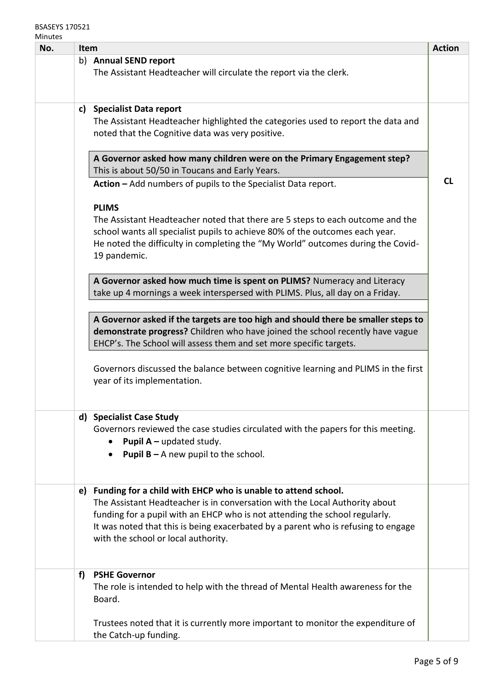| <u>IVIIIIULES</u><br>No. |    | <b>Item</b>                                                                                                              | <b>Action</b> |
|--------------------------|----|--------------------------------------------------------------------------------------------------------------------------|---------------|
|                          |    | b) Annual SEND report                                                                                                    |               |
|                          |    | The Assistant Headteacher will circulate the report via the clerk.                                                       |               |
|                          |    |                                                                                                                          |               |
|                          |    | c) Specialist Data report                                                                                                |               |
|                          |    | The Assistant Headteacher highlighted the categories used to report the data and                                         |               |
|                          |    | noted that the Cognitive data was very positive.                                                                         |               |
|                          |    |                                                                                                                          |               |
|                          |    | A Governor asked how many children were on the Primary Engagement step?                                                  |               |
|                          |    | This is about 50/50 in Toucans and Early Years.                                                                          | <b>CL</b>     |
|                          |    | Action - Add numbers of pupils to the Specialist Data report.                                                            |               |
|                          |    | <b>PLIMS</b>                                                                                                             |               |
|                          |    | The Assistant Headteacher noted that there are 5 steps to each outcome and the                                           |               |
|                          |    | school wants all specialist pupils to achieve 80% of the outcomes each year.                                             |               |
|                          |    | He noted the difficulty in completing the "My World" outcomes during the Covid-                                          |               |
|                          |    | 19 pandemic.                                                                                                             |               |
|                          |    | A Governor asked how much time is spent on PLIMS? Numeracy and Literacy                                                  |               |
|                          |    | take up 4 mornings a week interspersed with PLIMS. Plus, all day on a Friday.                                            |               |
|                          |    |                                                                                                                          |               |
|                          |    | A Governor asked if the targets are too high and should there be smaller steps to                                        |               |
|                          |    | demonstrate progress? Children who have joined the school recently have vague                                            |               |
|                          |    | EHCP's. The School will assess them and set more specific targets.                                                       |               |
|                          |    |                                                                                                                          |               |
|                          |    | Governors discussed the balance between cognitive learning and PLIMS in the first<br>year of its implementation.         |               |
|                          |    |                                                                                                                          |               |
|                          |    |                                                                                                                          |               |
|                          |    | d) Specialist Case Study                                                                                                 |               |
|                          |    | Governors reviewed the case studies circulated with the papers for this meeting.                                         |               |
|                          |    | <b>Pupil A</b> – updated study.<br><b>Pupil B</b> $-$ A new pupil to the school.                                         |               |
|                          |    |                                                                                                                          |               |
|                          |    |                                                                                                                          |               |
|                          | e) | Funding for a child with EHCP who is unable to attend school.                                                            |               |
|                          |    | The Assistant Headteacher is in conversation with the Local Authority about                                              |               |
|                          |    | funding for a pupil with an EHCP who is not attending the school regularly.                                              |               |
|                          |    | It was noted that this is being exacerbated by a parent who is refusing to engage<br>with the school or local authority. |               |
|                          |    |                                                                                                                          |               |
|                          |    |                                                                                                                          |               |
|                          | f) | <b>PSHE Governor</b>                                                                                                     |               |
|                          |    | The role is intended to help with the thread of Mental Health awareness for the                                          |               |
|                          |    | Board.                                                                                                                   |               |
|                          |    | Trustees noted that it is currently more important to monitor the expenditure of                                         |               |
|                          |    | the Catch-up funding.                                                                                                    |               |
|                          |    |                                                                                                                          |               |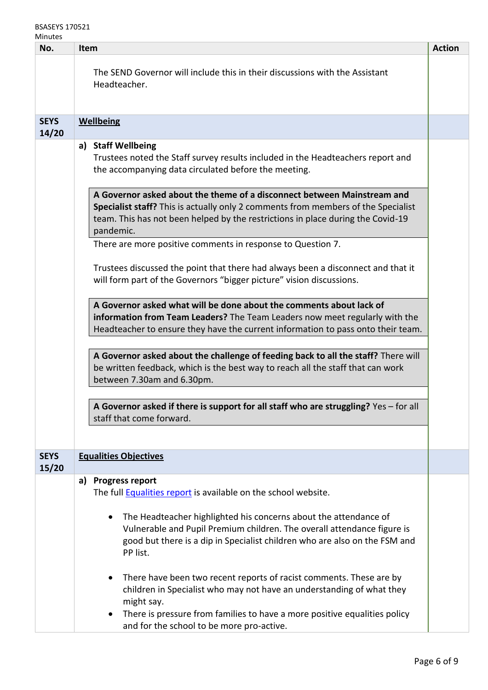## BSASEYS 170521 **Minutes**

| iviinutes<br>No.     | Item                                                                                                                                                                                                                                                                                                                          | <b>Action</b> |  |  |
|----------------------|-------------------------------------------------------------------------------------------------------------------------------------------------------------------------------------------------------------------------------------------------------------------------------------------------------------------------------|---------------|--|--|
|                      | The SEND Governor will include this in their discussions with the Assistant<br>Headteacher.                                                                                                                                                                                                                                   |               |  |  |
| <b>SEYS</b><br>14/20 | Wellbeing                                                                                                                                                                                                                                                                                                                     |               |  |  |
|                      | a) Staff Wellbeing<br>Trustees noted the Staff survey results included in the Headteachers report and<br>the accompanying data circulated before the meeting.<br>A Governor asked about the theme of a disconnect between Mainstream and<br>Specialist staff? This is actually only 2 comments from members of the Specialist |               |  |  |
|                      | team. This has not been helped by the restrictions in place during the Covid-19<br>pandemic.                                                                                                                                                                                                                                  |               |  |  |
|                      | There are more positive comments in response to Question 7.                                                                                                                                                                                                                                                                   |               |  |  |
|                      | Trustees discussed the point that there had always been a disconnect and that it<br>will form part of the Governors "bigger picture" vision discussions.                                                                                                                                                                      |               |  |  |
|                      | A Governor asked what will be done about the comments about lack of<br>information from Team Leaders? The Team Leaders now meet regularly with the<br>Headteacher to ensure they have the current information to pass onto their team.                                                                                        |               |  |  |
|                      | A Governor asked about the challenge of feeding back to all the staff? There will<br>be written feedback, which is the best way to reach all the staff that can work<br>between 7.30am and 6.30pm.                                                                                                                            |               |  |  |
|                      | A Governor asked if there is support for all staff who are struggling? Yes - for all<br>staff that come forward.                                                                                                                                                                                                              |               |  |  |
|                      |                                                                                                                                                                                                                                                                                                                               |               |  |  |
| <b>SEYS</b><br>15/20 | <b>Equalities Objectives</b>                                                                                                                                                                                                                                                                                                  |               |  |  |
|                      | <b>Progress report</b><br>a)                                                                                                                                                                                                                                                                                                  |               |  |  |
|                      | The full Equalities report is available on the school website.                                                                                                                                                                                                                                                                |               |  |  |
|                      | The Headteacher highlighted his concerns about the attendance of<br>$\bullet$<br>Vulnerable and Pupil Premium children. The overall attendance figure is<br>good but there is a dip in Specialist children who are also on the FSM and<br>PP list.                                                                            |               |  |  |
|                      | There have been two recent reports of racist comments. These are by<br>children in Specialist who may not have an understanding of what they<br>might say.<br>There is pressure from families to have a more positive equalities policy                                                                                       |               |  |  |
|                      | and for the school to be more pro-active.                                                                                                                                                                                                                                                                                     |               |  |  |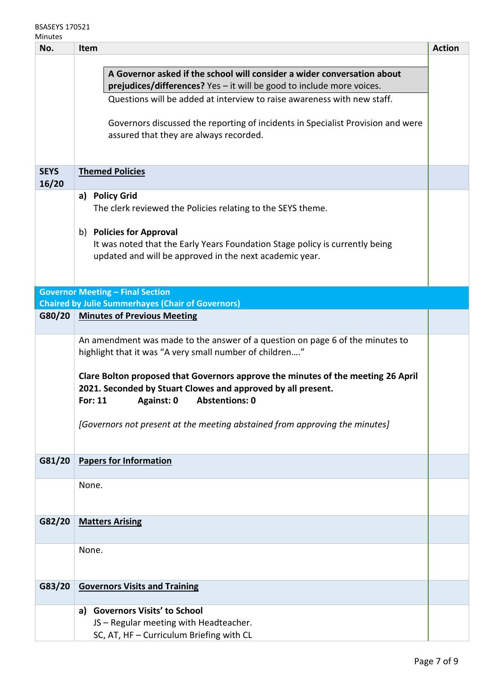| No.         | Item                                                                                                                                                                                               | <b>Action</b> |
|-------------|----------------------------------------------------------------------------------------------------------------------------------------------------------------------------------------------------|---------------|
|             |                                                                                                                                                                                                    |               |
|             | A Governor asked if the school will consider a wider conversation about                                                                                                                            |               |
|             | prejudices/differences? Yes - it will be good to include more voices.                                                                                                                              |               |
|             | Questions will be added at interview to raise awareness with new staff.                                                                                                                            |               |
|             | Governors discussed the reporting of incidents in Specialist Provision and were<br>assured that they are always recorded.                                                                          |               |
| <b>SEYS</b> |                                                                                                                                                                                                    |               |
| 16/20       | <b>Themed Policies</b>                                                                                                                                                                             |               |
|             | a) Policy Grid                                                                                                                                                                                     |               |
|             | The clerk reviewed the Policies relating to the SEYS theme.                                                                                                                                        |               |
|             |                                                                                                                                                                                                    |               |
|             | b) Policies for Approval                                                                                                                                                                           |               |
|             | It was noted that the Early Years Foundation Stage policy is currently being                                                                                                                       |               |
|             | updated and will be approved in the next academic year.                                                                                                                                            |               |
|             |                                                                                                                                                                                                    |               |
|             |                                                                                                                                                                                                    |               |
|             | <b>Governor Meeting - Final Section</b>                                                                                                                                                            |               |
|             | <b>Chaired by Julie Summerhayes (Chair of Governors)</b>                                                                                                                                           |               |
| G80/20      | <b>Minutes of Previous Meeting</b>                                                                                                                                                                 |               |
|             |                                                                                                                                                                                                    |               |
|             | An amendment was made to the answer of a question on page 6 of the minutes to<br>highlight that it was "A very small number of children"                                                           |               |
|             | Clare Bolton proposed that Governors approve the minutes of the meeting 26 April<br>2021. Seconded by Stuart Clowes and approved by all present.<br><b>Abstentions: 0</b><br>Against: 0<br>For: 11 |               |
|             | [Governors not present at the meeting abstained from approving the minutes]                                                                                                                        |               |
| G81/20      | <b>Papers for Information</b>                                                                                                                                                                      |               |
|             |                                                                                                                                                                                                    |               |
|             | None.                                                                                                                                                                                              |               |
|             |                                                                                                                                                                                                    |               |
| G82/20      | <b>Matters Arising</b>                                                                                                                                                                             |               |
|             |                                                                                                                                                                                                    |               |
|             | None.                                                                                                                                                                                              |               |
|             |                                                                                                                                                                                                    |               |
| G83/20      | <b>Governors Visits and Training</b>                                                                                                                                                               |               |
|             |                                                                                                                                                                                                    |               |
|             | <b>Governors Visits' to School</b><br>a)                                                                                                                                                           |               |
|             | JS - Regular meeting with Headteacher.                                                                                                                                                             |               |
|             | SC, AT, HF - Curriculum Briefing with CL                                                                                                                                                           |               |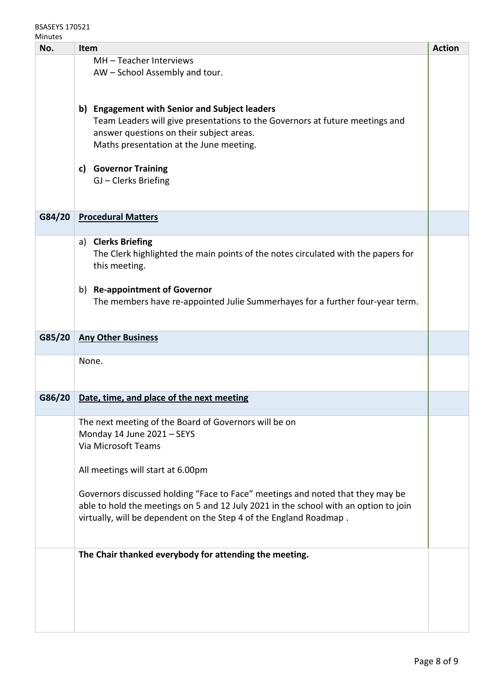| No.    | <b>Item</b>                                                                          | <b>Action</b> |
|--------|--------------------------------------------------------------------------------------|---------------|
|        | MH-Teacher Interviews                                                                |               |
|        | AW - School Assembly and tour.                                                       |               |
|        |                                                                                      |               |
|        |                                                                                      |               |
|        | b) Engagement with Senior and Subject leaders                                        |               |
|        | Team Leaders will give presentations to the Governors at future meetings and         |               |
|        | answer questions on their subject areas.                                             |               |
|        | Maths presentation at the June meeting.                                              |               |
|        |                                                                                      |               |
|        | c) Governor Training                                                                 |               |
|        | GJ - Clerks Briefing                                                                 |               |
|        |                                                                                      |               |
| G84/20 | <b>Procedural Matters</b>                                                            |               |
|        |                                                                                      |               |
|        | a) Clerks Briefing                                                                   |               |
|        | The Clerk highlighted the main points of the notes circulated with the papers for    |               |
|        | this meeting.                                                                        |               |
|        |                                                                                      |               |
|        | b) Re-appointment of Governor                                                        |               |
|        | The members have re-appointed Julie Summerhayes for a further four-year term.        |               |
|        |                                                                                      |               |
|        |                                                                                      |               |
| G85/20 | <b>Any Other Business</b>                                                            |               |
|        | None.                                                                                |               |
|        |                                                                                      |               |
|        |                                                                                      |               |
| G86/20 | Date, time, and place of the next meeting                                            |               |
|        |                                                                                      |               |
|        | The next meeting of the Board of Governors will be on                                |               |
|        | Monday 14 June 2021 - SEYS                                                           |               |
|        | Via Microsoft Teams                                                                  |               |
|        | All meetings will start at 6.00pm                                                    |               |
|        |                                                                                      |               |
|        | Governors discussed holding "Face to Face" meetings and noted that they may be       |               |
|        | able to hold the meetings on 5 and 12 July 2021 in the school with an option to join |               |
|        | virtually, will be dependent on the Step 4 of the England Roadmap.                   |               |
|        |                                                                                      |               |
|        |                                                                                      |               |
|        | The Chair thanked everybody for attending the meeting.                               |               |
|        |                                                                                      |               |
|        |                                                                                      |               |
|        |                                                                                      |               |
|        |                                                                                      |               |
|        |                                                                                      |               |